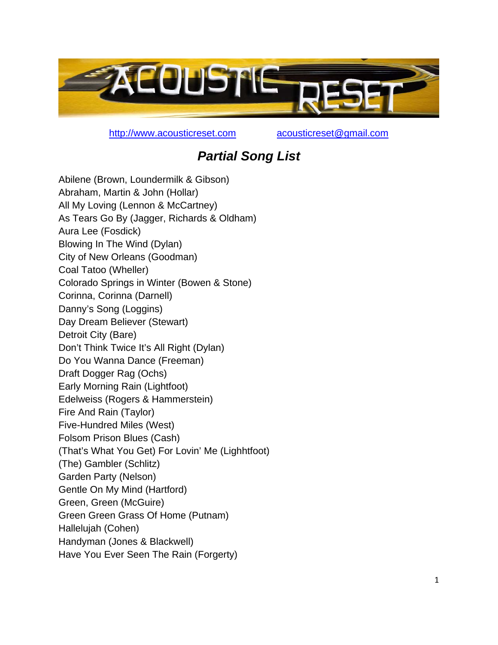

http://www.acousticreset.com acousticreset@gmail.com

## *Partial Song List*

Abilene (Brown, Loundermilk & Gibson) Abraham, Martin & John (Hollar) All My Loving (Lennon & McCartney) As Tears Go By (Jagger, Richards & Oldham) Aura Lee (Fosdick) Blowing In The Wind (Dylan) City of New Orleans (Goodman) Coal Tatoo (Wheller) Colorado Springs in Winter (Bowen & Stone) Corinna, Corinna (Darnell) Danny's Song (Loggins) Day Dream Believer (Stewart) Detroit City (Bare) Don't Think Twice It's All Right (Dylan) Do You Wanna Dance (Freeman) Draft Dogger Rag (Ochs) Early Morning Rain (Lightfoot) Edelweiss (Rogers & Hammerstein) Fire And Rain (Taylor) Five-Hundred Miles (West) Folsom Prison Blues (Cash) (That's What You Get) For Lovin' Me (Lighhtfoot) (The) Gambler (Schlitz) Garden Party (Nelson) Gentle On My Mind (Hartford) Green, Green (McGuire) Green Green Grass Of Home (Putnam) Hallelujah (Cohen) Handyman (Jones & Blackwell) Have You Ever Seen The Rain (Forgerty)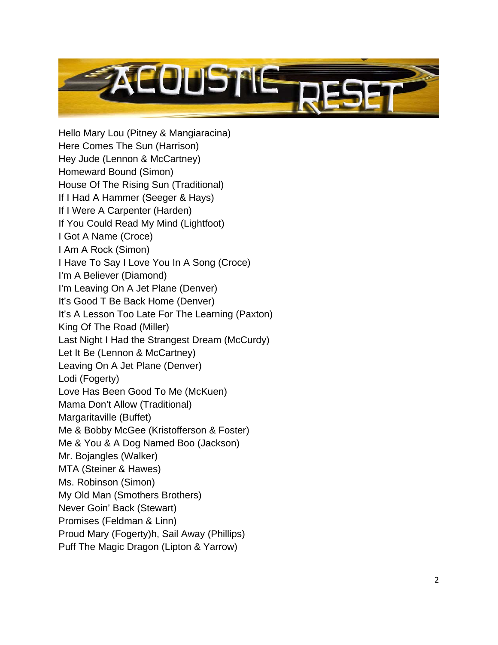

Hello Mary Lou (Pitney & Mangiaracina) Here Comes The Sun (Harrison) Hey Jude (Lennon & McCartney) Homeward Bound (Simon) House Of The Rising Sun (Traditional) If I Had A Hammer (Seeger & Hays) If I Were A Carpenter (Harden) If You Could Read My Mind (Lightfoot) I Got A Name (Croce) I Am A Rock (Simon) I Have To Say I Love You In A Song (Croce) I'm A Believer (Diamond) I'm Leaving On A Jet Plane (Denver) It's Good T Be Back Home (Denver) It's A Lesson Too Late For The Learning (Paxton) King Of The Road (Miller) Last Night I Had the Strangest Dream (McCurdy) Let It Be (Lennon & McCartney) Leaving On A Jet Plane (Denver) Lodi (Fogerty) Love Has Been Good To Me (McKuen) Mama Don't Allow (Traditional) Margaritaville (Buffet) Me & Bobby McGee (Kristofferson & Foster) Me & You & A Dog Named Boo (Jackson) Mr. Bojangles (Walker) MTA (Steiner & Hawes) Ms. Robinson (Simon) My Old Man (Smothers Brothers) Never Goin' Back (Stewart) Promises (Feldman & Linn) Proud Mary (Fogerty)h, Sail Away (Phillips) Puff The Magic Dragon (Lipton & Yarrow)